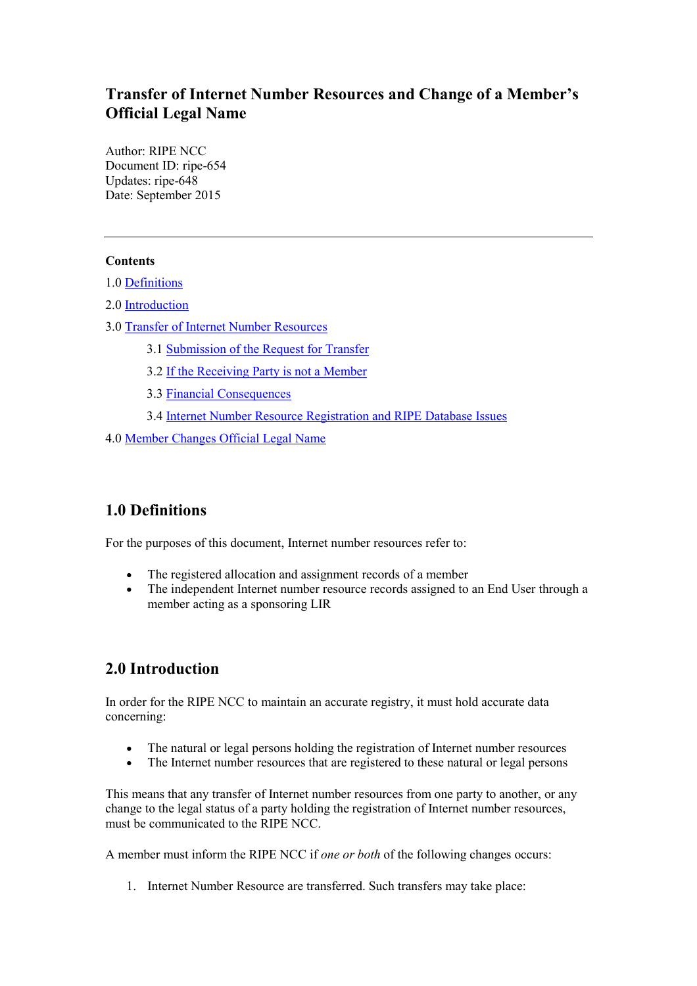# **Transfer of Internet Number Resources and Change of a Member's Official Legal Name**

Author: RIPE NCC Document ID: ripe-654 Updates: ripe-648 Date: September 2015

### **Contents**

1.0 [Definitions](#page-0-0)

2.0 [Introduction](#page-0-1)

- 3.0 [Transfer of Internet Number Resources](#page-1-0)
	- 3.1 [Submission of the Request for Transfer](#page-1-1)
	- 3.2 If the Receiving Party is not a [Member](#page-3-0)
	- 3.3 [Financial Consequences](#page-3-1)
	- 3.4 Internet [Number Resource Registration and RIPE Database Issues](#page-4-0)

4.0 Member Changes Official Legal Name

# <span id="page-0-0"></span>**1.0 Definitions**

For the purposes of this document, Internet number resources refer to:

- The registered allocation and assignment records of a member
- The independent Internet number resource records assigned to an End User through a member acting as a sponsoring LIR

# <span id="page-0-1"></span>**2.0 Introduction**

In order for the RIPE NCC to maintain an accurate registry, it must hold accurate data concerning:

- The natural or legal persons holding the registration of Internet number resources
- The Internet number resources that are registered to these natural or legal persons

This means that any transfer of Internet number resources from one party to another, or any change to the legal status of a party holding the registration of Internet number resources, must be communicated to the RIPE NCC.

A member must inform the RIPE NCC if *one or both* of the following changes occurs:

1. Internet Number Resource are transferred. Such transfers may take place: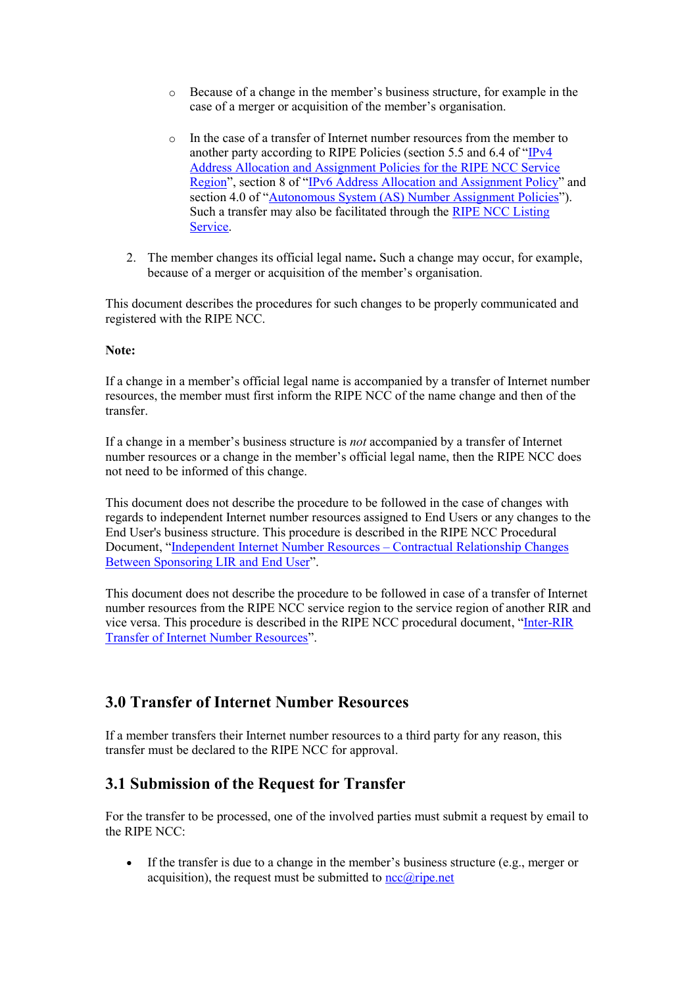- o Because of a change in the member's business structure, for example in the case of a merger or acquisition of the member's organisation.
- o In the case of a transfer of Internet number resources from the member to another party according to RIPE Policies (section 5.5 and 6.4 of "[IPv4](https://www.ripe.net/publications/docs/ipv4-policies#55)  [Address Allocation and Assignment Policies for the RIPE NCC Service](https://www.ripe.net/publications/docs/ipv4-policies#55)  [Region](https://www.ripe.net/publications/docs/ipv4-policies#55)["](https://www.ripe.net/publications/docs/ipv4-policies#55), section 8 of "[IPv6 Address Allocation and Assignment Policy](https://www.ripe.net/publications/docs/ipv6-policy#8--transfer-of-ipv6-resources)" and section 4.0 of "[Autonomous System \(AS\) Number Assignment Policies](https://www.ripe.net/publications/docs/asn-assignment-policies#Transferring)"). Such a transfer may also be facilitated through the [RIPE NCC Listing](https://www.ripe.net/manage-ips-and-asns/resource-transfers-and-mergers/transfers/ipv4/listing/listing-services-page)  [Service.](https://www.ripe.net/manage-ips-and-asns/resource-transfers-and-mergers/transfers/ipv4/listing/listing-services-page)
- 2. The member changes its official legal name**.** Such a change may occur, for example, because of a merger or acquisition of the member's organisation.

This document describes the procedures for such changes to be properly communicated and registered with the RIPE NCC.

#### **Note:**

If a change in a member's official legal name is accompanied by a transfer of Internet number resources, the member must first inform the RIPE NCC of the name change and then of the transfer.

If a change in a member's business structure is *not* accompanied by a transfer of Internet number resources or a change in the member's official legal name, then the RIPE NCC does not need to be informed of this change.

This document does not describe the procedure to be followed in the case of changes with regards to independent Internet number resources assigned to End Users or any changes to the End User's business structure. This procedure is described in the RIPE NCC Procedural Document, "[Independent Internet Number Resources](https://www.ripe.net/publications/docs/lir-end-user-contractual-changes) – Contractual Relationship Changes [Between Sponsoring LIR and End User](https://www.ripe.net/publications/docs/lir-end-user-contractual-changes)".

This document does not describe the procedure to be followed in case of a transfer of Internet number resources from the RIPE NCC service region to the service region of another RIR and vice versa. This procedure is described in the RIPE NCC procedural document, "[Inter-RIR](https://www.ripe.net/publications/docs/inter-rir-transfer-of-inr)  [Transfer of Internet Number Resources](https://www.ripe.net/publications/docs/inter-rir-transfer-of-inr)".

# <span id="page-1-0"></span>**3.0 Transfer of Internet Number Resources**

If a member transfers their Internet number resources to a third party for any reason, this transfer must be declared to the RIPE NCC for approval.

## <span id="page-1-1"></span>**3.1 Submission of the Request for Transfer**

For the transfer to be processed, one of the involved parties must submit a request by email to the RIPE NCC:

If the transfer is due to a change in the member's business structure (e.g., merger or acquisition), the request must be submitted to  $\frac{ncc(\hat{a})\text{ripe.net}}{ncc(\hat{a})}$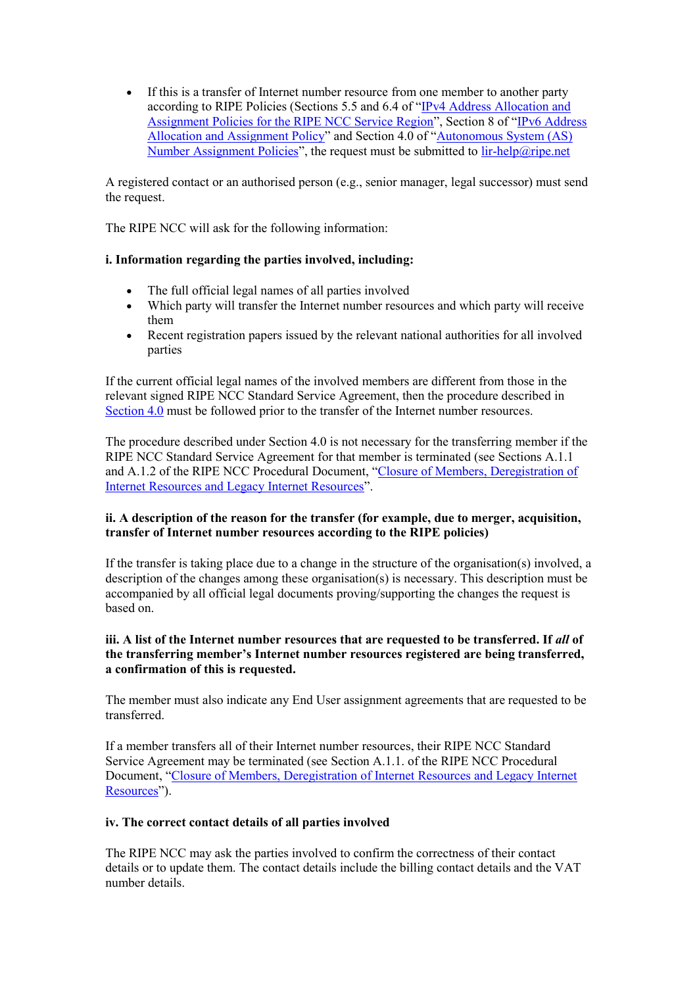If this is a transfer of Internet number resource from one member to another party according to RIPE Policies (Sections 5.5 and 6.4 of "[IPv4 Address Allocation and](https://www.ripe.net/publications/docs/ipv4-policies#55)  [Assignment Policies for the RIPE NCC Service Region](https://www.ripe.net/publications/docs/ipv4-policies#55)", Section 8 of "[IPv6 Address](https://www.ripe.net/publications/docs/ipv6-policy#8--transfer-of-ipv6-resources)  [Allocation and Assignment Policy](https://www.ripe.net/publications/docs/ipv6-policy#8--transfer-of-ipv6-resources)" and Section 4.0 of "[Autonomous System \(AS\)](https://www.ripe.net/publications/docs/asn-assignment-policies#Transferring)  [Number Assignment Policies](https://www.ripe.net/publications/docs/asn-assignment-policies#Transferring)", the request must be submitted to  $\frac{ir\text{-}help@ripe.net}{}$ 

A registered contact or an authorised person (e.g., senior manager, legal successor) must send the request.

The RIPE NCC will ask for the following information:

### **i. Information regarding the parties involved, including:**

- The full official legal names of all parties involved
- Which party will transfer the Internet number resources and which party will receive them
- Recent registration papers issued by the relevant national authorities for all involved parties

If the current official legal names of the involved members are different from those in the relevant signed RIPE NCC Standard Service Agreement, then the procedure described in [Section 4.0](#page-4-1) must be followed prior to the transfer of the Internet number resources.

The procedure described under Section 4.0 is not necessary for the transferring member if the RIPE NCC Standard Service Agreement for that member is terminated (see Sections A.1.1 and A.1.2 of the RIPE NCC Procedural Document, "[Closure of Members,](https://www.ripe.net/publications/docs/closure) Deregistration of [Internet Resources and Legacy Internet Resources](https://www.ripe.net/publications/docs/closure)".

### **ii. A description of the reason for the transfer (for example, due to merger, acquisition, transfer of Internet number resources according to the RIPE policies)**

If the transfer is taking place due to a change in the structure of the organisation(s) involved, a description of the changes among these organisation(s) is necessary. This description must be accompanied by all official legal documents proving/supporting the changes the request is based on.

### **iii. A list of the Internet number resources that are requested to be transferred. If** *all* **of the transferring member's Internet number resources registered are being transferred, a confirmation of this is requested.**

The member must also indicate any End User assignment agreements that are requested to be transferred.

If a member transfers all of their Internet number resources, their RIPE NCC Standard Service Agreement may be terminated (see Section A.1.1. of the RIPE NCC Procedural Document, "[Closure of Members, Deregistration of Internet](http://www.ripe.net/publications/docs/closure) Resources and Legacy Internet [Resources](http://www.ripe.net/publications/docs/closure)").

#### **iv. The correct contact details of all parties involved**

The RIPE NCC may ask the parties involved to confirm the correctness of their contact details or to update them. The contact details include the billing contact details and the VAT number details.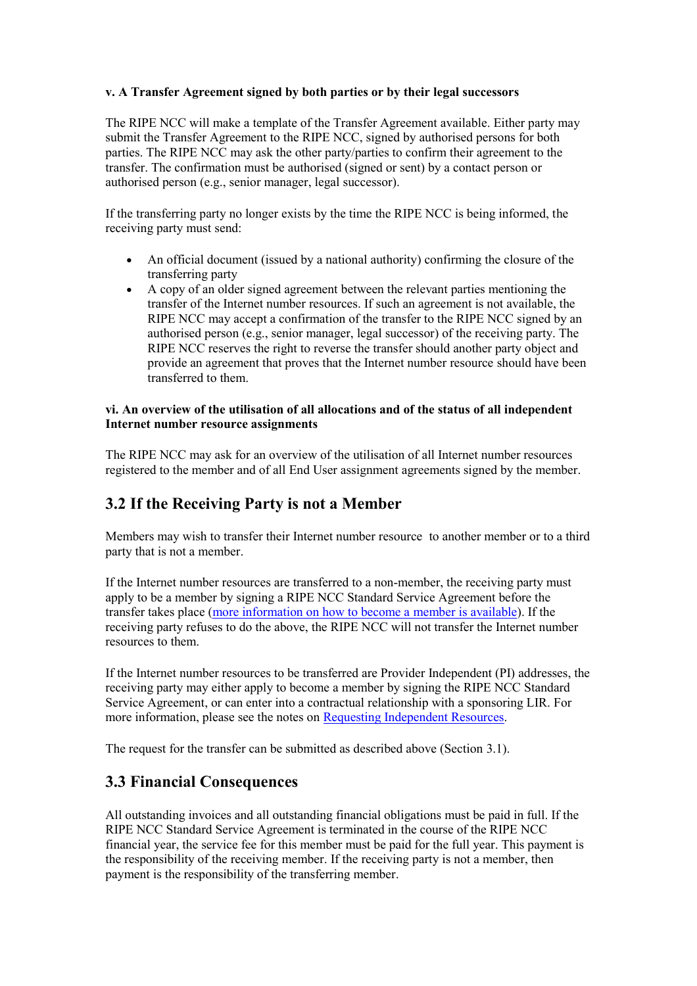### **v. A Transfer Agreement signed by both parties or by their legal successors**

The RIPE NCC will make a template of the Transfer Agreement available. Either party may submit the Transfer Agreement to the RIPE NCC, signed by authorised persons for both parties. The RIPE NCC may ask the other party/parties to confirm their agreement to the transfer. The confirmation must be authorised (signed or sent) by a contact person or authorised person (e.g., senior manager, legal successor).

If the transferring party no longer exists by the time the RIPE NCC is being informed, the receiving party must send:

- An official document (issued by a national authority) confirming the closure of the transferring party
- A copy of an older signed agreement between the relevant parties mentioning the transfer of the Internet number resources. If such an agreement is not available, the RIPE NCC may accept a confirmation of the transfer to the RIPE NCC signed by an authorised person (e.g., senior manager, legal successor) of the receiving party. The RIPE NCC reserves the right to reverse the transfer should another party object and provide an agreement that proves that the Internet number resource should have been transferred to them.

#### **vi. An overview of the utilisation of all allocations and of the status of all independent Internet number resource assignments**

The RIPE NCC may ask for an overview of the utilisation of all Internet number resources registered to the member and of all End User assignment agreements signed by the member.

# <span id="page-3-0"></span>**3.2 If the Receiving Party is not a Member**

Members may wish to transfer their Internet number resource to another member or to a third party that is not a member.

If the Internet number resources are transferred to a non-member, the receiving party must apply to be a member by signing a RIPE NCC Standard Service Agreement before the transfer takes place [\(more information on how to become a member is available\)](https://www.ripe.net/become-a-member). If the receiving party refuses to do the above, the RIPE NCC will not transfer the Internet number resources to them.

If the Internet number resources to be transferred are Provider Independent (PI) addresses, the receiving party may either apply to become a member by signing the RIPE NCC Standard Service Agreement, or can enter into a contractual relationship with a sponsoring LIR. For more information, please see the notes o[n Requesting Independent Resources.](https://www.ripe.net/participate/resource-management/independent-resources)

The request for the transfer can be submitted as described above (Section 3.1).

## <span id="page-3-1"></span>**3.3 Financial Consequences**

All outstanding invoices and all outstanding financial obligations must be paid in full. If the RIPE NCC Standard Service Agreement is terminated in the course of the RIPE NCC financial year, the service fee for this member must be paid for the full year. This payment is the responsibility of the receiving member. If the receiving party is not a member, then payment is the responsibility of the transferring member.